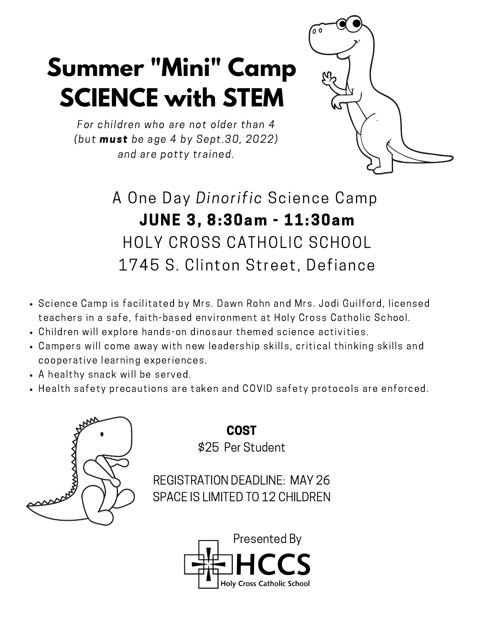## **Summer "Mini" Camp SCIENCE with STEM**



For children who are not older than 4 (but must be age 4 by Sept.30, 2022) and are potty trained.

> A One Day Dinorific Science Camp JUNE 3, 8:30am - 11:30am HOLY CROSS CATHOLIC SCHOOL 1745 S. Clinton Street, Defiance

- Science Camp is facilitated by Mrs. Dawn Rohn and Mrs. Jodi Guilford, licensed teachers in a safe, faith-based environment at Holy Cross Catholic School.
- Children will explore hands-on dinosaur themed science activities.
- Campers will come away with new leadership skills, critical thinking skills and cooperative learning experiences.
- A healthy snack will be served.
- Health safety precautions are taken and COVID safety protocols are enforced.



COST \$25 Per Student

REGISTRATION DEADLINE: MAY 26 SPACE IS LIMITED TO 12 CHILDREN